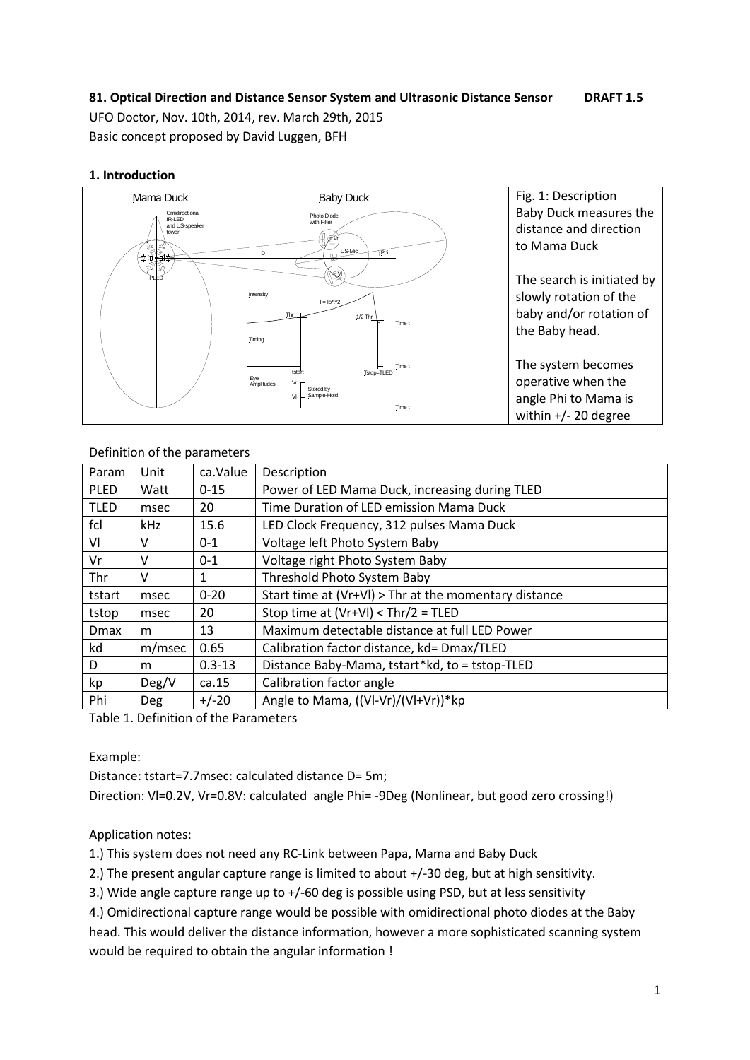# **81. Optical Direction and Distance Sensor System and Ultrasonic Distance Sensor DRAFT 1.5**

UFO Doctor, Nov. 10th, 2014, rev. March 29th, 2015 Basic concept proposed by David Luggen, BFH

#### **1. Introduction**



| Param        | Unit       | ca.Value   | Description                                           |  |
|--------------|------------|------------|-------------------------------------------------------|--|
| <b>PLED</b>  | Watt       | $0 - 15$   | Power of LED Mama Duck, increasing during TLED        |  |
| <b>TLED</b>  | msec       | 20         | Time Duration of LED emission Mama Duck               |  |
| fcl          | kHz        | 15.6       | LED Clock Frequency, 312 pulses Mama Duck             |  |
| VI           | v          | $0 - 1$    | Voltage left Photo System Baby                        |  |
| Vr           | V          | $0 - 1$    | Voltage right Photo System Baby                       |  |
| Thr          | v          | 1          | Threshold Photo System Baby                           |  |
| tstart       | msec       | $0 - 20$   | Start time at (Vr+VI) > Thr at the momentary distance |  |
| tstop        | msec       | 20         | Stop time at (Vr+VI) < Thr/2 = TLED                   |  |
| <b>D</b> max | m          | 13         | Maximum detectable distance at full LED Power         |  |
| kd           | m/msec     | 0.65       | Calibration factor distance, kd= Dmax/TLED            |  |
| D            | m          | $0.3 - 13$ | Distance Baby-Mama, tstart*kd, to = tstop-TLED        |  |
| kp           | Deg/V      | ca.15      | Calibration factor angle                              |  |
| Phi          | <b>Deg</b> | $+/-20$    | Angle to Mama, ((VI-Vr)/(VI+Vr))*kp                   |  |

#### Definition of the parameters

Table 1. Definition of the Parameters

#### Example:

Distance: tstart=7.7msec: calculated distance D= 5m;

Direction: VI=0.2V, Vr=0.8V: calculated angle Phi= -9Deg (Nonlinear, but good zero crossing!)

## Application notes:

1.) This system does not need any RC-Link between Papa, Mama and Baby Duck

2.) The present angular capture range is limited to about +/-30 deg, but at high sensitivity.

3.) Wide angle capture range up to +/-60 deg is possible using PSD, but at less sensitivity

4.) Omidirectional capture range would be possible with omidirectional photo diodes at the Baby head. This would deliver the distance information, however a more sophisticated scanning system would be required to obtain the angular information !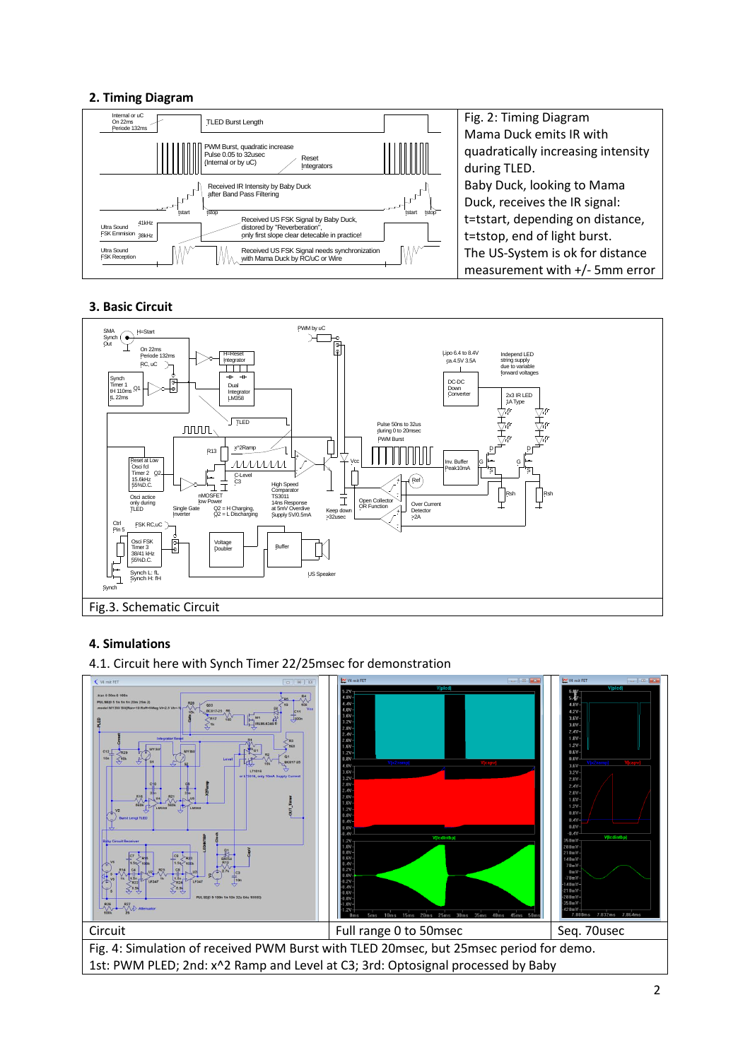## **2. Timing Diagram**



Fig. 2: Timing Diagram Mama Duck emits IR with quadratically increasing intensity Baby Duck, looking to Mama Duck, receives the IR signal: t=tstart, depending on distance, t=tstop, end of light burst. The US-System is ok for distance measurement with +/- 5mm error

#### **3. Basic Circuit**



#### **4. Simulations**

4.1. Circuit here with Synch Timer 22/25msec for demonstration

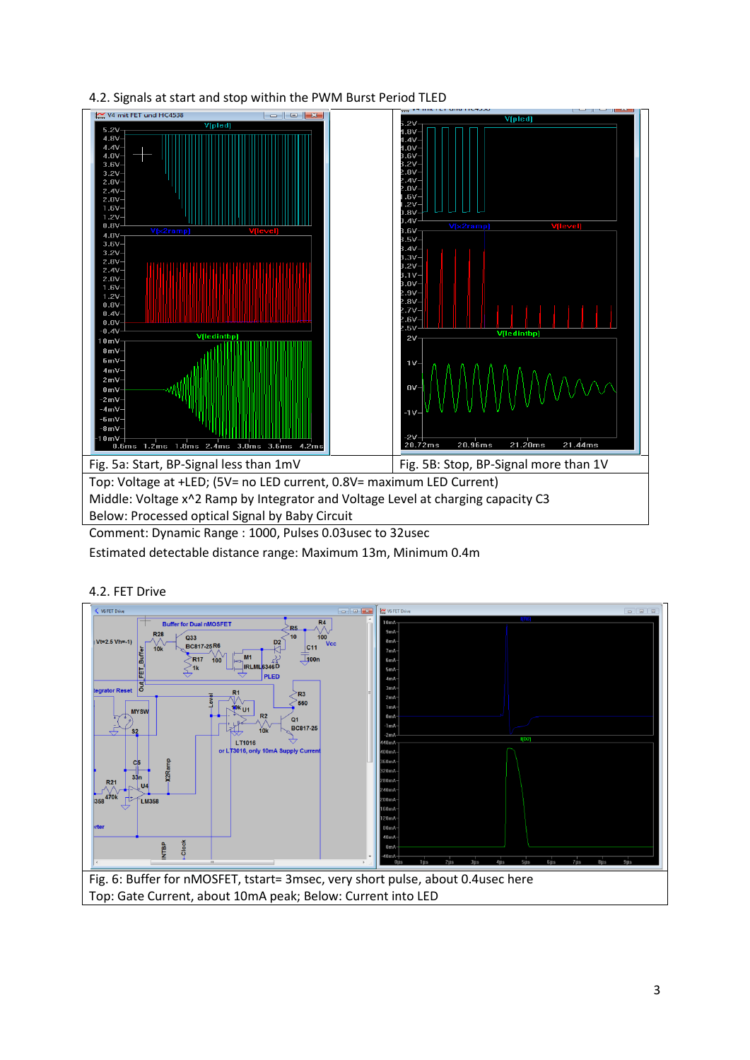

4.2. Signals at start and stop within the PWM Burst Period TLED

Estimated detectable distance range: Maximum 13m, Minimum 0.4m

# 4.2. FET Drive

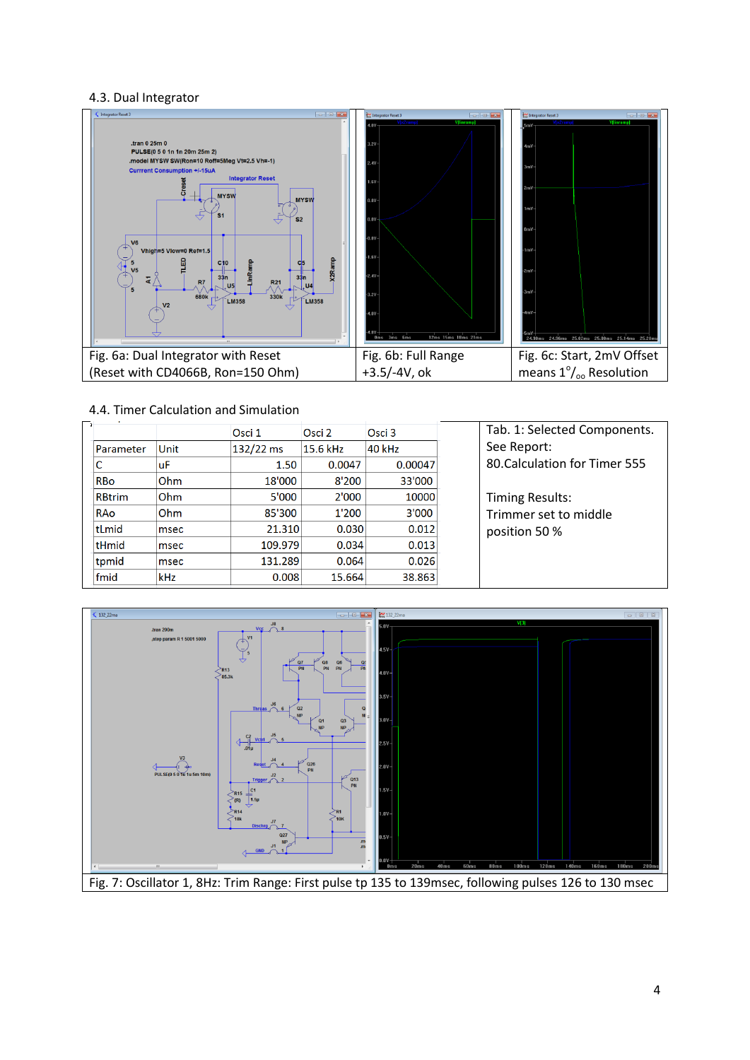## 4.3. Dual Integrator



#### 4.4. Timer Calculation and Simulation

|               |            | Osci 1    | Osci 2   | Osci 3  |
|---------------|------------|-----------|----------|---------|
| Parameter     | Unit       | 132/22 ms | 15.6 kHz | 40 kHz  |
|               | luF        | 1.50      | 0.0047   | 0.00047 |
| <b>RBo</b>    | <b>Ohm</b> | 18'000    | 8'200    | 33'000  |
| <b>RBtrim</b> | <b>Ohm</b> | 5'000     | 2'000    | 10000   |
| RAo           | Ohm        | 85'300    | 1'200    | 3'000   |
| tLmid         | msec       | 21.310    | 0.030    | 0.012   |
| tHmid         | msec       | 109.979   | 0.034    | 0.013   |
| tpmid         | msec       | 131.289   | 0.064    | 0.026   |
| fmid          | <b>kHz</b> | 0.008     | 15.664   | 38.863  |

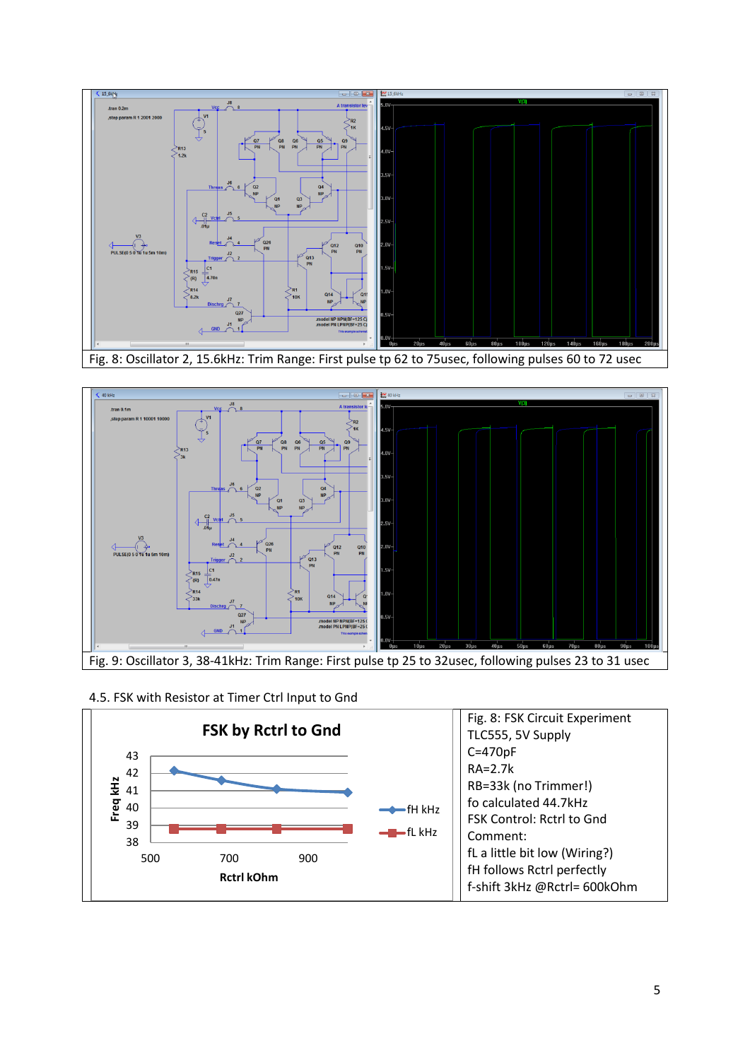



#### 4.5. FSK with Resistor at Timer Ctrl Input to Gnd

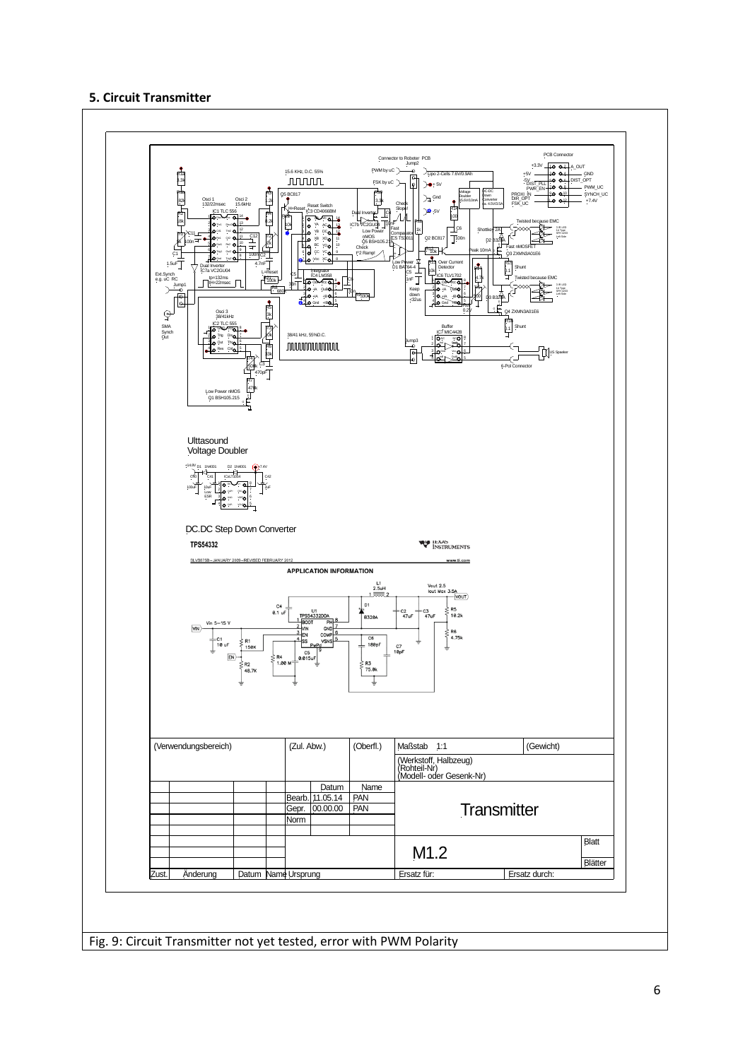#### **5. Circuit Transmitter**



Fig. 9: Circuit Transmitter not yet tested, error with PWM Polarity